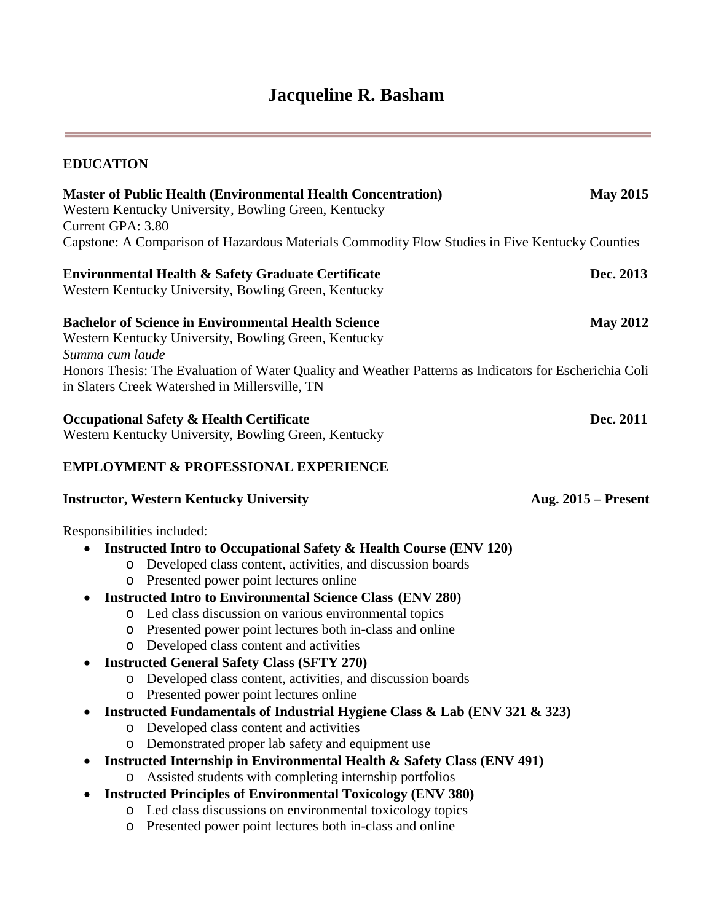# **Jacqueline R. Basham**

 $=$ 

| <b>EDUCATION</b>           |                                                                                                                                                          |                       |
|----------------------------|----------------------------------------------------------------------------------------------------------------------------------------------------------|-----------------------|
| Current GPA: 3.80          | <b>Master of Public Health (Environmental Health Concentration)</b><br>Western Kentucky University, Bowling Green, Kentucky                              | <b>May 2015</b>       |
|                            | Capstone: A Comparison of Hazardous Materials Commodity Flow Studies in Five Kentucky Counties                                                           |                       |
|                            | Environmental Health & Safety Graduate Certificate<br>Western Kentucky University, Bowling Green, Kentucky                                               | Dec. 2013             |
| Summa cum laude            | <b>Bachelor of Science in Environmental Health Science</b><br>Western Kentucky University, Bowling Green, Kentucky                                       | <b>May 2012</b>       |
|                            | Honors Thesis: The Evaluation of Water Quality and Weather Patterns as Indicators for Escherichia Coli<br>in Slaters Creek Watershed in Millersville, TN |                       |
|                            | <b>Occupational Safety &amp; Health Certificate</b><br>Western Kentucky University, Bowling Green, Kentucky                                              | Dec. 2011             |
|                            | <b>EMPLOYMENT &amp; PROFESSIONAL EXPERIENCE</b>                                                                                                          |                       |
|                            | <b>Instructor, Western Kentucky University</b>                                                                                                           | Aug. $2015$ – Present |
| Responsibilities included: |                                                                                                                                                          |                       |
|                            | <b>Instructed Intro to Occupational Safety &amp; Health Course (ENV 120)</b>                                                                             |                       |
| $\circ$                    | Developed class content, activities, and discussion boards                                                                                               |                       |
| O                          | Presented power point lectures online                                                                                                                    |                       |
|                            | <b>Instructed Intro to Environmental Science Class (ENV 280)</b>                                                                                         |                       |
| $\circ$                    | Led class discussion on various environmental topics<br>Presented power point lectures both in-class and online                                          |                       |
| O<br>$\circ$               | Developed class content and activities                                                                                                                   |                       |
|                            | <b>Instructed General Safety Class (SFTY 270)</b>                                                                                                        |                       |
|                            | Developed class content, activities, and discussion boards                                                                                               |                       |
| O                          | Presented power point lectures online                                                                                                                    |                       |
|                            | Instructed Fundamentals of Industrial Hygiene Class & Lab (ENV 321 & 323)                                                                                |                       |
| $\circ$                    | Developed class content and activities                                                                                                                   |                       |
| $\circ$                    | Demonstrated proper lab safety and equipment use                                                                                                         |                       |
|                            | Instructed Internship in Environmental Health & Safety Class (ENV 491)                                                                                   |                       |
| $\circ$                    | Assisted students with completing internship portfolios                                                                                                  |                       |
| $\bullet$<br>$\circ$       | <b>Instructed Principles of Environmental Toxicology (ENV 380)</b><br>Led class discussions on environmental toxicology topics                           |                       |
| O                          | Presented power point lectures both in-class and online                                                                                                  |                       |
|                            |                                                                                                                                                          |                       |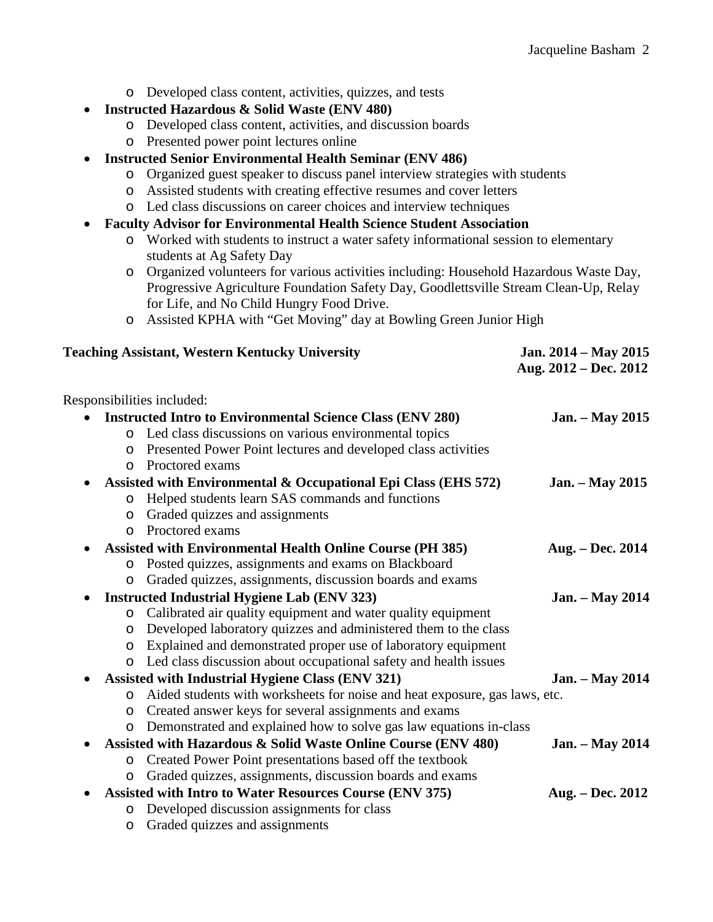|                            | o Developed class content, activities, quizzes, and tests                             |                        |  |
|----------------------------|---------------------------------------------------------------------------------------|------------------------|--|
|                            | <b>Instructed Hazardous &amp; Solid Waste (ENV 480)</b>                               |                        |  |
| $\circ$                    | Developed class content, activities, and discussion boards                            |                        |  |
| $\circ$                    | Presented power point lectures online                                                 |                        |  |
|                            | <b>Instructed Senior Environmental Health Seminar (ENV 486)</b>                       |                        |  |
| O                          | Organized guest speaker to discuss panel interview strategies with students           |                        |  |
| O                          | Assisted students with creating effective resumes and cover letters                   |                        |  |
| O                          | Led class discussions on career choices and interview techniques                      |                        |  |
| ٠                          | <b>Faculty Advisor for Environmental Health Science Student Association</b>           |                        |  |
| O                          | Worked with students to instruct a water safety informational session to elementary   |                        |  |
|                            | students at Ag Safety Day                                                             |                        |  |
| O                          | Organized volunteers for various activities including: Household Hazardous Waste Day, |                        |  |
|                            | Progressive Agriculture Foundation Safety Day, Goodlettsville Stream Clean-Up, Relay  |                        |  |
|                            | for Life, and No Child Hungry Food Drive.                                             |                        |  |
| $\circ$                    | Assisted KPHA with "Get Moving" day at Bowling Green Junior High                      |                        |  |
|                            |                                                                                       |                        |  |
|                            | <b>Teaching Assistant, Western Kentucky University</b>                                | Jan. 2014 - May 2015   |  |
|                            |                                                                                       | Aug. 2012 – Dec. 2012  |  |
|                            |                                                                                       |                        |  |
| Responsibilities included: |                                                                                       |                        |  |
|                            | <b>Instructed Intro to Environmental Science Class (ENV 280)</b>                      | <b>Jan.</b> – May 2015 |  |
| O                          | Led class discussions on various environmental topics                                 |                        |  |
| O                          | Presented Power Point lectures and developed class activities                         |                        |  |
| Proctored exams<br>$\circ$ |                                                                                       |                        |  |
|                            | Assisted with Environmental & Occupational Epi Class (EHS 572)                        | <b>Jan.</b> – May 2015 |  |
| $\circ$                    | Helped students learn SAS commands and functions                                      |                        |  |
| O                          | Graded quizzes and assignments                                                        |                        |  |
| Proctored exams<br>O       |                                                                                       |                        |  |
|                            | <b>Assisted with Environmental Health Online Course (PH 385)</b>                      | Aug. – Dec. 2014       |  |
| $\circ$                    | Posted quizzes, assignments and exams on Blackboard                                   |                        |  |
| $\circ$                    | Graded quizzes, assignments, discussion boards and exams                              |                        |  |
|                            | <b>Instructed Industrial Hygiene Lab (ENV 323)</b>                                    | <b>Jan.</b> – May 2014 |  |
| O                          | Calibrated air quality equipment and water quality equipment                          |                        |  |
| O                          | Developed laboratory quizzes and administered them to the class                       |                        |  |
| O                          | Explained and demonstrated proper use of laboratory equipment                         |                        |  |
| O                          | Led class discussion about occupational safety and health issues                      |                        |  |
|                            | <b>Assisted with Industrial Hygiene Class (ENV 321)</b>                               | <b>Jan.</b> – May 2014 |  |
| O                          | Aided students with worksheets for noise and heat exposure, gas laws, etc.            |                        |  |
| O                          | Created answer keys for several assignments and exams                                 |                        |  |
| O                          | Demonstrated and explained how to solve gas law equations in-class                    |                        |  |
|                            | Assisted with Hazardous & Solid Waste Online Course (ENV 480)                         | <b>Jan.</b> – May 2014 |  |
| O                          | Created Power Point presentations based off the textbook                              |                        |  |
| O                          | Graded quizzes, assignments, discussion boards and exams                              |                        |  |
|                            | <b>Assisted with Intro to Water Resources Course (ENV 375)</b>                        | Aug. – Dec. 2012       |  |
| O                          | Developed discussion assignments for class                                            |                        |  |

o Graded quizzes and assignments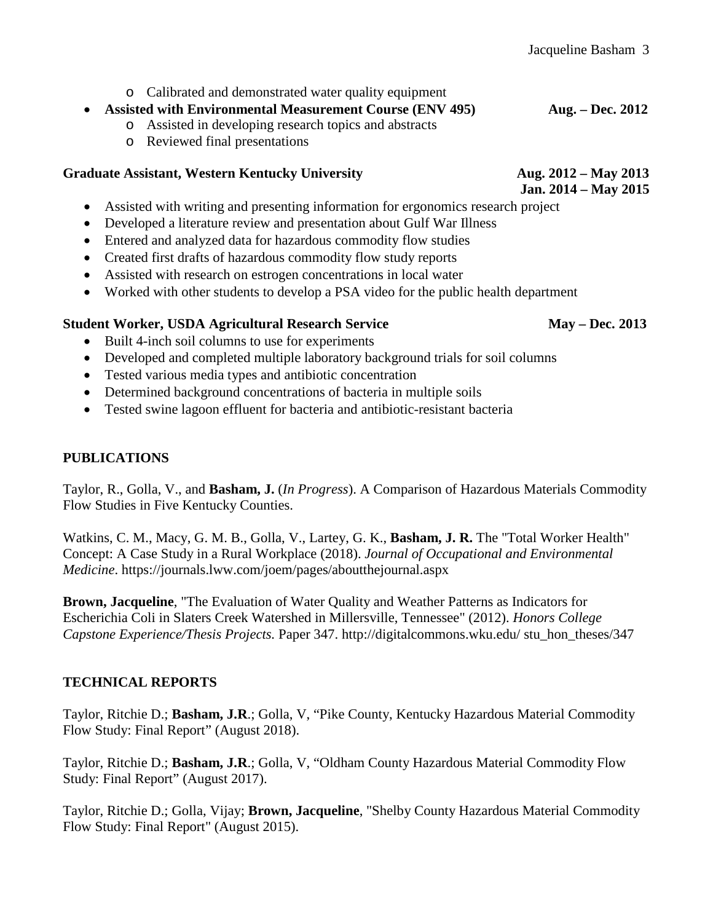o Calibrated and demonstrated water quality equipment

#### • **Assisted with Environmental Measurement Course (ENV 495) Aug. – Dec. 2012**

- o Assisted in developing research topics and abstracts
- o Reviewed final presentations

#### **Graduate Assistant, Western Kentucky University Aug. 2012 – May 2013**

 **Jan. 2014 – May 2015**

- Assisted with writing and presenting information for ergonomics research project
- Developed a literature review and presentation about Gulf War Illness
- Entered and analyzed data for hazardous commodity flow studies
- Created first drafts of hazardous commodity flow study reports
- Assisted with research on estrogen concentrations in local water
- Worked with other students to develop a PSA video for the public health department

## **Student Worker, USDA Agricultural Research Service May – Dec. 2013**

- Built 4-inch soil columns to use for experiments
- Developed and completed multiple laboratory background trials for soil columns
- Tested various media types and antibiotic concentration
- Determined background concentrations of bacteria in multiple soils
- Tested swine lagoon effluent for bacteria and antibiotic-resistant bacteria

#### **PUBLICATIONS**

Taylor, R., Golla, V., and **Basham, J.** (*In Progress*). A Comparison of Hazardous Materials Commodity Flow Studies in Five Kentucky Counties.

Watkins, C. M., Macy, G. M. B., Golla, V., Lartey, G. K., **Basham, J. R.** The "Total Worker Health" Concept: A Case Study in a Rural Workplace (2018). *Journal of Occupational and Environmental Medicine*. https://journals.lww.com/joem/pages/aboutthejournal.aspx

**Brown, Jacqueline**, "The Evaluation of Water Quality and Weather Patterns as Indicators for Escherichia Coli in Slaters Creek Watershed in Millersville, Tennessee" (2012). *Honors College Capstone Experience/Thesis Projects.* Paper 347. http://digitalcommons.wku.edu/ stu\_hon\_theses/347

## **TECHNICAL REPORTS**

Taylor, Ritchie D.; **Basham, J.R**.; Golla, V, "Pike County, Kentucky Hazardous Material Commodity Flow Study: Final Report" (August 2018).

Taylor, Ritchie D.; **Basham, J.R**.; Golla, V, "Oldham County Hazardous Material Commodity Flow Study: Final Report" (August 2017).

Taylor, Ritchie D.; Golla, Vijay; **Brown, Jacqueline**, "Shelby County Hazardous Material Commodity Flow Study: Final Report" (August 2015).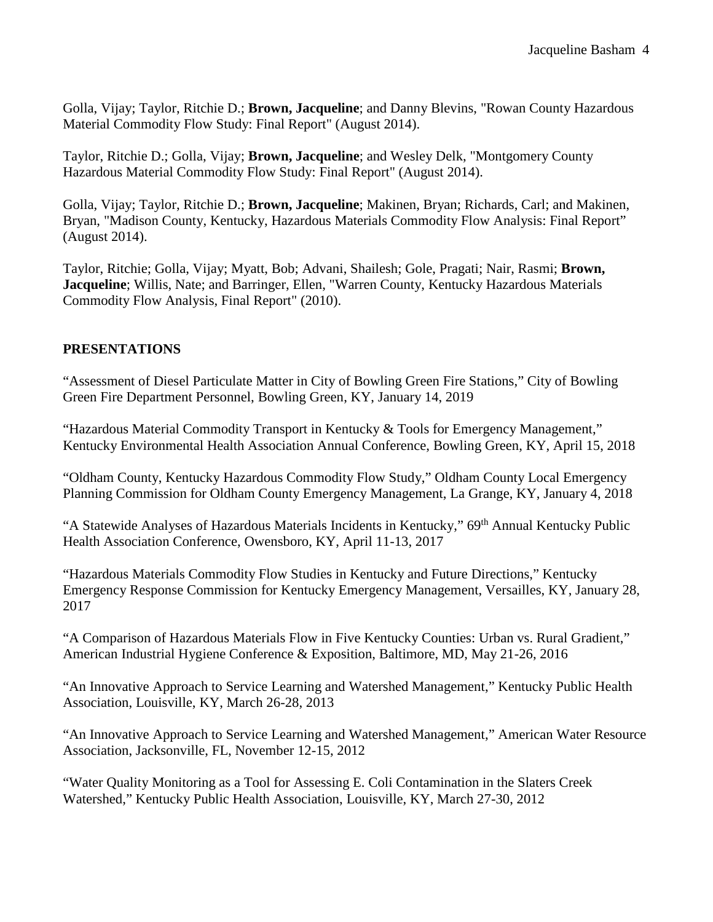Golla, Vijay; Taylor, Ritchie D.; **Brown, Jacqueline**; and Danny Blevins, "Rowan County Hazardous Material Commodity Flow Study: Final Report" (August 2014).

Taylor, Ritchie D.; Golla, Vijay; **Brown, Jacqueline**; and Wesley Delk, "Montgomery County Hazardous Material Commodity Flow Study: Final Report" (August 2014).

Golla, Vijay; Taylor, Ritchie D.; **Brown, Jacqueline**; Makinen, Bryan; Richards, Carl; and Makinen, Bryan, "Madison County, Kentucky, Hazardous Materials Commodity Flow Analysis: Final Report" (August 2014).

Taylor, Ritchie; Golla, Vijay; Myatt, Bob; Advani, Shailesh; Gole, Pragati; Nair, Rasmi; **Brown, Jacqueline**; Willis, Nate; and Barringer, Ellen, "Warren County, Kentucky Hazardous Materials Commodity Flow Analysis, Final Report" (2010).

#### **PRESENTATIONS**

"Assessment of Diesel Particulate Matter in City of Bowling Green Fire Stations," City of Bowling Green Fire Department Personnel, Bowling Green, KY, January 14, 2019

"Hazardous Material Commodity Transport in Kentucky & Tools for Emergency Management," Kentucky Environmental Health Association Annual Conference, Bowling Green, KY, April 15, 2018

"Oldham County, Kentucky Hazardous Commodity Flow Study," Oldham County Local Emergency Planning Commission for Oldham County Emergency Management, La Grange, KY, January 4, 2018

"A Statewide Analyses of Hazardous Materials Incidents in Kentucky," 69th Annual Kentucky Public Health Association Conference, Owensboro, KY, April 11-13, 2017

"Hazardous Materials Commodity Flow Studies in Kentucky and Future Directions," Kentucky Emergency Response Commission for Kentucky Emergency Management, Versailles, KY, January 28, 2017

"A Comparison of Hazardous Materials Flow in Five Kentucky Counties: Urban vs. Rural Gradient," American Industrial Hygiene Conference & Exposition, Baltimore, MD, May 21-26, 2016

"An Innovative Approach to Service Learning and Watershed Management," Kentucky Public Health Association, Louisville, KY, March 26-28, 2013

"An Innovative Approach to Service Learning and Watershed Management," American Water Resource Association, Jacksonville, FL, November 12-15, 2012

"Water Quality Monitoring as a Tool for Assessing E. Coli Contamination in the Slaters Creek Watershed," Kentucky Public Health Association, Louisville, KY, March 27-30, 2012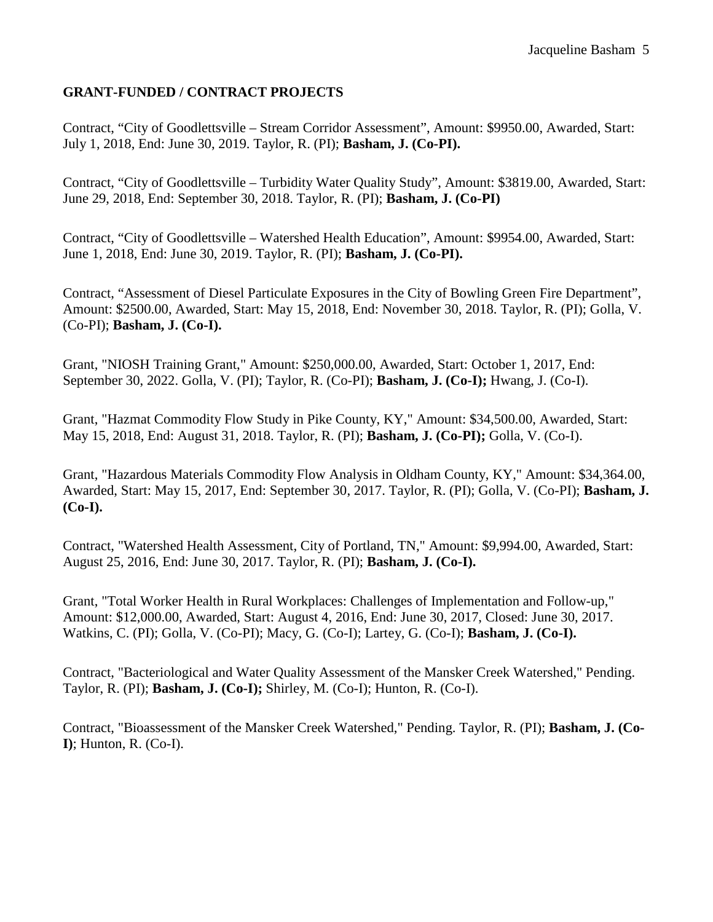#### **GRANT-FUNDED / CONTRACT PROJECTS**

Contract, "City of Goodlettsville – Stream Corridor Assessment", Amount: \$9950.00, Awarded, Start: July 1, 2018, End: June 30, 2019. Taylor, R. (PI); **Basham, J. (Co-PI).**

Contract, "City of Goodlettsville – Turbidity Water Quality Study", Amount: \$3819.00, Awarded, Start: June 29, 2018, End: September 30, 2018. Taylor, R. (PI); **Basham, J. (Co-PI)**

Contract, "City of Goodlettsville – Watershed Health Education", Amount: \$9954.00, Awarded, Start: June 1, 2018, End: June 30, 2019. Taylor, R. (PI); **Basham, J. (Co-PI).**

Contract, "Assessment of Diesel Particulate Exposures in the City of Bowling Green Fire Department", Amount: \$2500.00, Awarded, Start: May 15, 2018, End: November 30, 2018. Taylor, R. (PI); Golla, V. (Co-PI); **Basham, J. (Co-I).**

Grant, "NIOSH Training Grant," Amount: \$250,000.00, Awarded, Start: October 1, 2017, End: September 30, 2022. Golla, V. (PI); Taylor, R. (Co-PI); **Basham, J. (Co-I);** Hwang, J. (Co-I).

Grant, "Hazmat Commodity Flow Study in Pike County, KY," Amount: \$34,500.00, Awarded, Start: May 15, 2018, End: August 31, 2018. Taylor, R. (PI); **Basham, J. (Co-PI);** Golla, V. (Co-I).

Grant, "Hazardous Materials Commodity Flow Analysis in Oldham County, KY," Amount: \$34,364.00, Awarded, Start: May 15, 2017, End: September 30, 2017. Taylor, R. (PI); Golla, V. (Co-PI); **Basham, J. (Co-I).**

Contract, "Watershed Health Assessment, City of Portland, TN," Amount: \$9,994.00, Awarded, Start: August 25, 2016, End: June 30, 2017. Taylor, R. (PI); **Basham, J. (Co-I).**

Grant, "Total Worker Health in Rural Workplaces: Challenges of Implementation and Follow-up," Amount: \$12,000.00, Awarded, Start: August 4, 2016, End: June 30, 2017, Closed: June 30, 2017. Watkins, C. (PI); Golla, V. (Co-PI); Macy, G. (Co-I); Lartey, G. (Co-I); **Basham, J. (Co-I).**

Contract, "Bacteriological and Water Quality Assessment of the Mansker Creek Watershed," Pending. Taylor, R. (PI); **Basham, J. (Co-I);** Shirley, M. (Co-I); Hunton, R. (Co-I).

Contract, "Bioassessment of the Mansker Creek Watershed," Pending. Taylor, R. (PI); **Basham, J. (Co-I)**; Hunton, R. (Co-I).